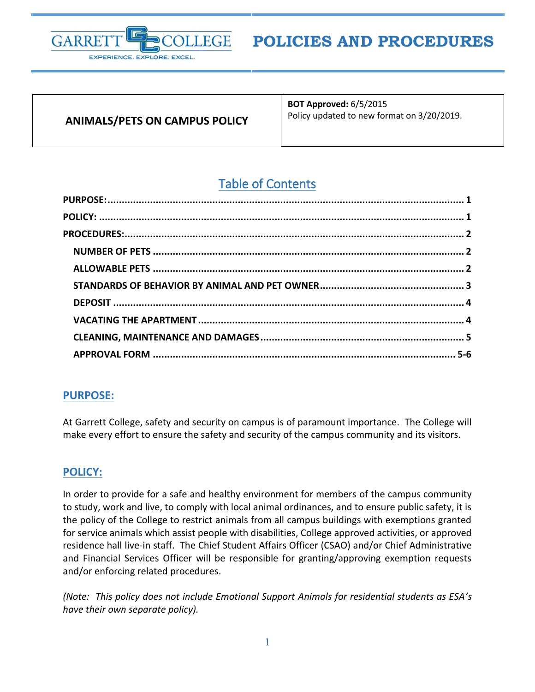

# **ANIMALS/PETS ON CAMPUS POLICY**

**BOT Approved:** 6/5/2015 Policy updated to new format on 3/20/2019.

# Table of Contents

# <span id="page-0-0"></span>**PURPOSE:**

At Garrett College, safety and security on campus is of paramount importance. The College will make every effort to ensure the safety and security of the campus community and its visitors.

# <span id="page-0-1"></span>**POLICY:**

In order to provide for a safe and healthy environment for members of the campus community to study, work and live, to comply with local animal ordinances, and to ensure public safety, it is the policy of the College to restrict animals from all campus buildings with exemptions granted for service animals which assist people with disabilities, College approved activities, or approved residence hall live-in staff. The Chief Student Affairs Officer (CSAO) and/or Chief Administrative and Financial Services Officer will be responsible for granting/approving exemption requests and/or enforcing related procedures.

*(Note: This policy does not include Emotional Support Animals for residential students as ESA's have their own separate policy).*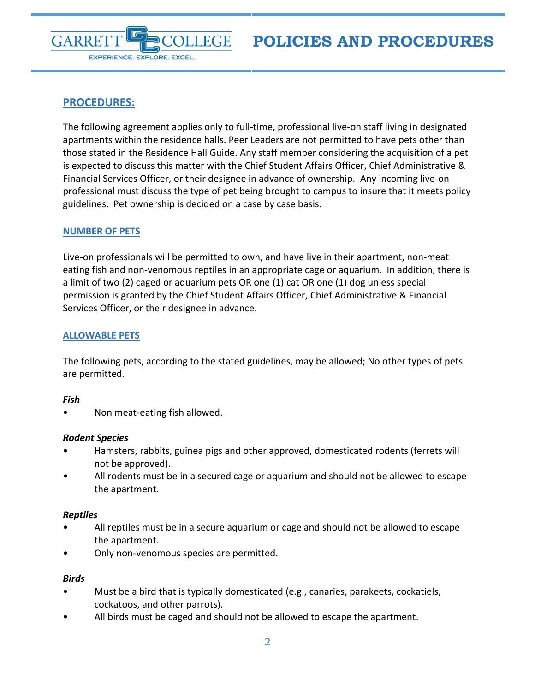

# <span id="page-1-0"></span>**PROCEDURES:**

The following agreement applies only to full-time, professional live-on staff living in designated apartments within the residence halls. Peer Leaders are not permitted to have pets other than those stated in the Residence Hall Guide. Any staff member considering the acquisition of a pet is expected to discuss this matter with the Chief Student Affairs Officer, Chief Administrative & Financial Services Officer, or their designee in advance of ownership. Any incoming live-on professional must discuss the type of pet being brought to campus to insure that it meets policy guidelines. Pet ownership is decided on a case by case basis.

# <span id="page-1-1"></span>**NUMBER OF PETS**

Live-on professionals will be permitted to own, and have live in their apartment, non-meat eating fish and non-venomous reptiles in an appropriate cage or aquarium. In addition, there is a limit of two (2) caged or aquarium pets OR one (1) cat OR one (1) dog unless special permission is granted by the Chief Student Affairs Officer, Chief Administrative & Financial Services Officer, or their designee in advance.

# <span id="page-1-2"></span>**ALLOWABLE PETS**

The following pets, according to the stated guidelines, may be allowed; No other types of pets are permitted.

#### *Fish*

• Non meat-eating fish allowed.

#### *Rodent Species*

- Hamsters, rabbits, guinea pigs and other approved, domesticated rodents (ferrets will not be approved).
- All rodents must be in a secured cage or aquarium and should not be allowed to escape the apartment.

#### *Reptiles*

- All reptiles must be in a secure aquarium or cage and should not be allowed to escape the apartment.
- Only non-venomous species are permitted.

#### *Birds*

- Must be a bird that is typically domesticated (e.g., canaries, parakeets, cockatiels, cockatoos, and other parrots).
- All birds must be caged and should not be allowed to escape the apartment.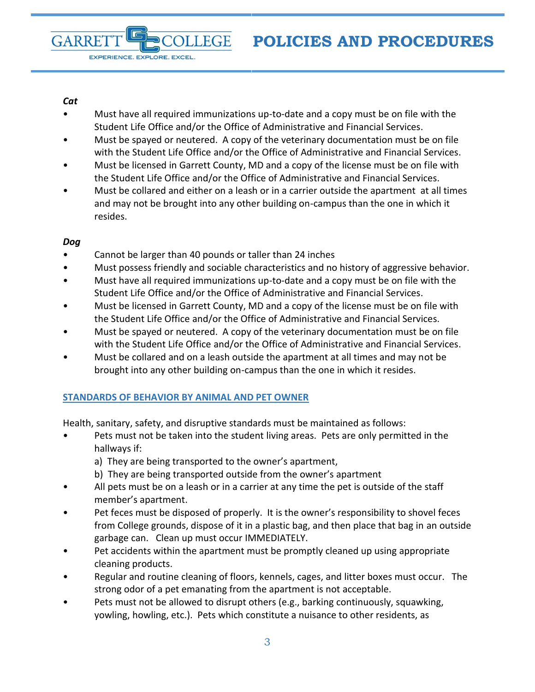#### *Cat*

**GARRE** 

EXPERIENCE. EXPLORE. EXCEL.

- Must have all required immunizations up-to-date and a copy must be on file with the Student Life Office and/or the Office of Administrative and Financial Services.
- Must be spayed or neutered. A copy of the veterinary documentation must be on file with the Student Life Office and/or the Office of Administrative and Financial Services.
- Must be licensed in Garrett County, MD and a copy of the license must be on file with the Student Life Office and/or the Office of Administrative and Financial Services.
- Must be collared and either on a leash or in a carrier outside the apartment at all times and may not be brought into any other building on-campus than the one in which it resides.

#### *Dog*

Cannot be larger than 40 pounds or taller than 24 inches

**LEGE** 

- Must possess friendly and sociable characteristics and no history of aggressive behavior.
- Must have all required immunizations up-to-date and a copy must be on file with the Student Life Office and/or the Office of Administrative and Financial Services.
- Must be licensed in Garrett County, MD and a copy of the license must be on file with the Student Life Office and/or the Office of Administrative and Financial Services.
- Must be spayed or neutered. A copy of the veterinary documentation must be on file with the Student Life Office and/or the Office of Administrative and Financial Services.
- Must be collared and on a leash outside the apartment at all times and may not be brought into any other building on-campus than the one in which it resides.

#### <span id="page-2-0"></span>**STANDARDS OF BEHAVIOR BY ANIMAL AND PET OWNER**

Health, sanitary, safety, and disruptive standards must be maintained as follows:

- Pets must not be taken into the student living areas. Pets are only permitted in the hallways if:
	- a) They are being transported to the owner's apartment,
	- b) They are being transported outside from the owner's apartment
- All pets must be on a leash or in a carrier at any time the pet is outside of the staff member's apartment.
- Pet feces must be disposed of properly. It is the owner's responsibility to shovel feces from College grounds, dispose of it in a plastic bag, and then place that bag in an outside garbage can. Clean up must occur IMMEDIATELY.
- Pet accidents within the apartment must be promptly cleaned up using appropriate cleaning products.
- Regular and routine cleaning of floors, kennels, cages, and litter boxes must occur. The strong odor of a pet emanating from the apartment is not acceptable.
- Pets must not be allowed to disrupt others (e.g., barking continuously, squawking, yowling, howling, etc.). Pets which constitute a nuisance to other residents, as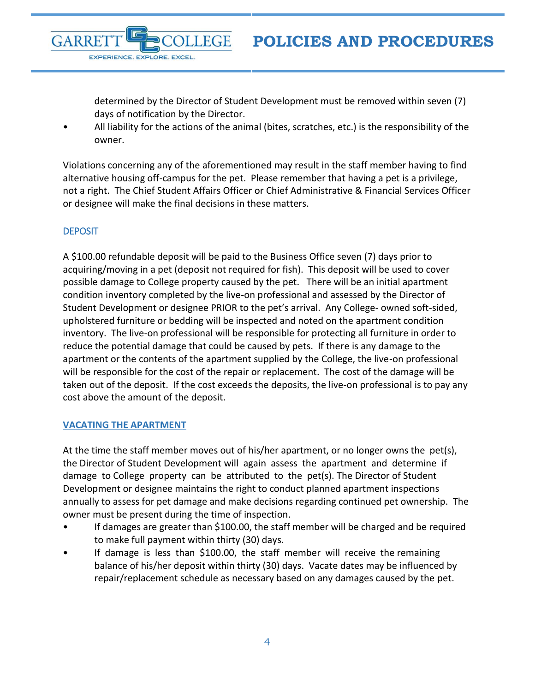determined by the Director of Student Development must be removed within seven (7) days of notification by the Director.

• All liability for the actions of the animal (bites, scratches, etc.) is the responsibility of the owner.

**FGE** 

Violations concerning any of the aforementioned may result in the staff member having to find alternative housing off-campus for the pet. Please remember that having a pet is a privilege, not a right. The Chief Student Affairs Officer or Chief Administrative & Financial Services Officer or designee will make the final decisions in these matters.

### <span id="page-3-0"></span>**DEPOSIT**

**GARRE** 

EXPERIENCE. EXPLORE. EXCEL.

A \$100.00 refundable deposit will be paid to the Business Office seven (7) days prior to acquiring/moving in a pet (deposit not required for fish). This deposit will be used to cover possible damage to College property caused by the pet. There will be an initial apartment condition inventory completed by the live-on professional and assessed by the Director of Student Development or designee PRIOR to the pet's arrival. Any College- owned soft-sided, upholstered furniture or bedding will be inspected and noted on the apartment condition inventory. The live-on professional will be responsible for protecting all furniture in order to reduce the potential damage that could be caused by pets. If there is any damage to the apartment or the contents of the apartment supplied by the College, the live-on professional will be responsible for the cost of the repair or replacement. The cost of the damage will be taken out of the deposit. If the cost exceeds the deposits, the live-on professional is to pay any cost above the amount of the deposit.

#### <span id="page-3-1"></span>**VACATING THE APARTMENT**

At the time the staff member moves out of his/her apartment, or no longer owns the pet(s), the Director of Student Development will again assess the apartment and determine if damage to College property can be attributed to the pet(s). The Director of Student Development or designee maintains the right to conduct planned apartment inspections annually to assess for pet damage and make decisions regarding continued pet ownership. The owner must be present during the time of inspection.

- If damages are greater than \$100.00, the staff member will be charged and be required to make full payment within thirty (30) days.
- If damage is less than \$100.00, the staff member will receive the remaining balance of his/her deposit within thirty (30) days. Vacate dates may be influenced by repair/replacement schedule as necessary based on any damages caused by the pet.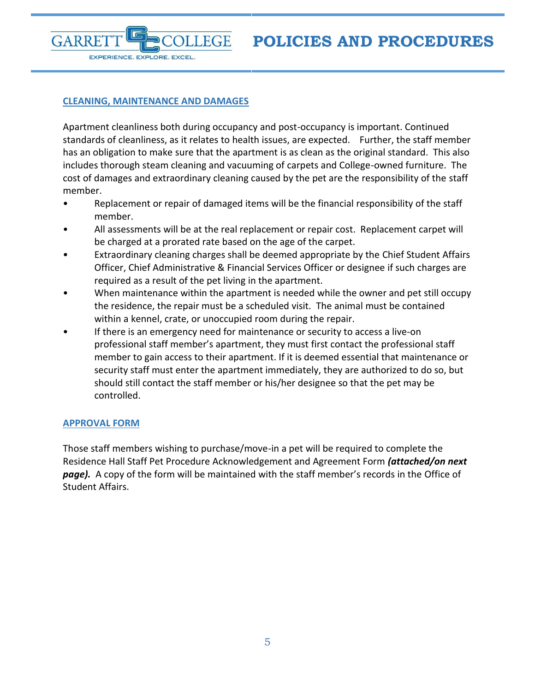#### <span id="page-4-0"></span>**CLEANING, MAINTENANCE AND DAMAGES**

EXPERIENCE. EXPLORE. EXCEL.

**FGE** 

**GARRE** 

Apartment cleanliness both during occupancy and post-occupancy is important. Continued standards of cleanliness, as it relates to health issues, are expected. Further, the staff member has an obligation to make sure that the apartment is as clean as the original standard. This also includes thorough steam cleaning and vacuuming of carpets and College-owned furniture. The cost of damages and extraordinary cleaning caused by the pet are the responsibility of the staff member.

- Replacement or repair of damaged items will be the financial responsibility of the staff member.
- All assessments will be at the real replacement or repair cost. Replacement carpet will be charged at a prorated rate based on the age of the carpet.
- Extraordinary cleaning charges shall be deemed appropriate by the Chief Student Affairs Officer, Chief Administrative & Financial Services Officer or designee if such charges are required as a result of the pet living in the apartment.
- When maintenance within the apartment is needed while the owner and pet still occupy the residence, the repair must be a scheduled visit. The animal must be contained within a kennel, crate, or unoccupied room during the repair.
- If there is an emergency need for maintenance or security to access a live-on professional staff member's apartment, they must first contact the professional staff member to gain access to their apartment. If it is deemed essential that maintenance or security staff must enter the apartment immediately, they are authorized to do so, but should still contact the staff member or his/her designee so that the pet may be controlled.

#### <span id="page-4-1"></span>**APPROVAL FORM**

Those staff members wishing to purchase/move-in a pet will be required to complete the Residence Hall Staff Pet Procedure Acknowledgement and Agreement Form *(attached/on next page).* A copy of the form will be maintained with the staff member's records in the Office of Student Affairs.